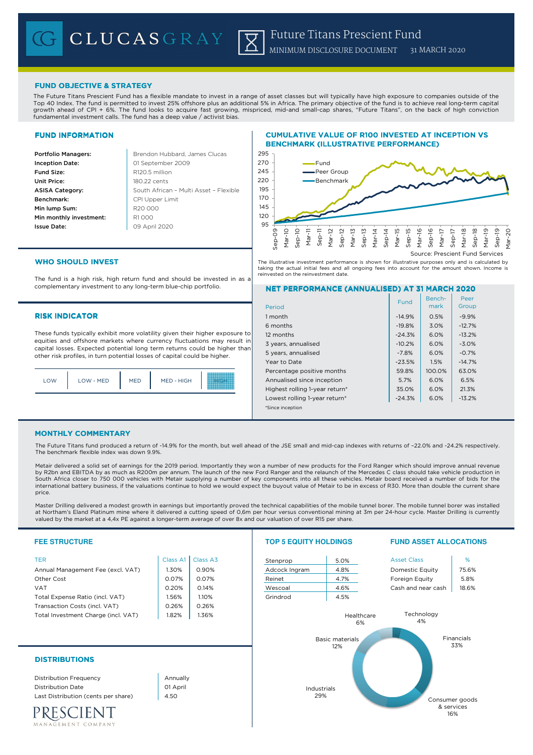# FUND OBJECTIVE & STRATEGY

The Future Titans Prescient Fund has a flexible mandate to invest in a range of asset classes but will typically have high exposure to companies outside of the Top 40 Index. The fund is permitted to invest 25% offshore plus an additional 5% in Africa. The primary objective of the fund is to achieve real long-term capital growth ahead of CPI + 6%. The fund looks to acquire fast growing, mispriced, mid-and small-cap shares, "Future Titans", on the back of high conviction fundamental investment calls. The fund has a deep value / activist bias.

## FUND INFORMATION

**Portfolio Managers: Brendon Hubbard, James Clucas** Inception Date: **Fund Size:** R120.5 million Unit Price: 180.22 cents ASISA Category: Benchmark: Min lump Sum: Min monthly investment: R1000 Issue Date:

South African – Multi Asset – Flexible 01 September 2009 CPI Upper Limit R20 000 09 April 2020

# CUMULATIVE VALUE OF R100 INVESTED AT INCEPTION VS BENCHMARK (ILLUSTRATIVE PERFORMANCE)



The illustrative investment performance is shown for illustrative purposes only and is calculated by taking the actual initial fees and all ongoing fees into account for the amount shown. Income is reinvested on the reinvestment date.

# WHO SHOULD INVEST

The fund is a high risk, high return fund and should be invested in as a complementary investment to any long-term blue-chip portfolio.

## **RISK INDICATOR**

These funds typically exhibit more volatility given their higher exposure to equities and offshore markets where currency fluctuations may result in capital losses. Expected potential long term returns could be higher than other risk profiles, in turn potential losses of capital could be higher.

| LOW | LOW - MED | <b>MED</b> | MED - HIGH |  |
|-----|-----------|------------|------------|--|
|     |           |            |            |  |

# NET PERFORMANCE (ANNUALISED) AT 31 MARCH 2020

| Period                         | <b>Fund</b> | Bench-<br>mark | Peer<br>Group |
|--------------------------------|-------------|----------------|---------------|
| 1 month                        | $-14.9%$    | 0.5%           | $-9.9%$       |
| 6 months                       | $-19.8%$    | 3.0%           | $-12.7%$      |
| 12 months                      | $-24.3%$    | 6.0%           | $-13.2%$      |
| 3 years, annualised            | $-10.2%$    | 6.0%           | $-3.0%$       |
| 5 years, annualised            | $-7.8%$     | 6.0%           | $-0.7%$       |
| Year to Date                   | $-23.5%$    | 1.5%           | $-14.7%$      |
| Percentage positive months     | 59.8%       | 100.0%         | 63.0%         |
| Annualised since inception     | 5.7%        | 6.0%           | 6.5%          |
| Highest rolling 1-year return* | 35.0%       | 6.0%           | 21.3%         |
| Lowest rolling 1-year return*  | $-24.3%$    | 6.0%           | $-13.2%$      |
| *Since inception               |             |                |               |

#### MONTHLY COMMENTARY

The Future Titans fund produced a return of -14.9% for the month, but well ahead of the JSE small and mid-cap indexes with returns of –22.0% and -24.2% respectively. The benchmark flexible index was down 9.9%.

Metair delivered a solid set of earnings for the 2019 period. Importantly they won a number of new products for the Ford Ranger which should improve annual revenue by R2bn and EBITDA by as much as R200m per annum. The launch of the new Ford Ranger and the relaunch of the Mercedes C class should take vehicle production in South Africa closer to 750 000 vehicles with Metair supplying a number of key components into all these vehicles. Metair board received a number of bids for the<br>international battery business, if the valuations continue to price

Master Drilling delivered a modest growth in earnings but importantly proved the technical capabilities of the mobile tunnel borer. The mobile tunnel borer was installed at Northam's Eland Platinum mine where it delivered a cutting speed of 0,6m per hour versus conventional mining at 3m per 24-hour cycle. Master Drilling is currently<br>valued by the market at a 4,4x PE against a longer-term